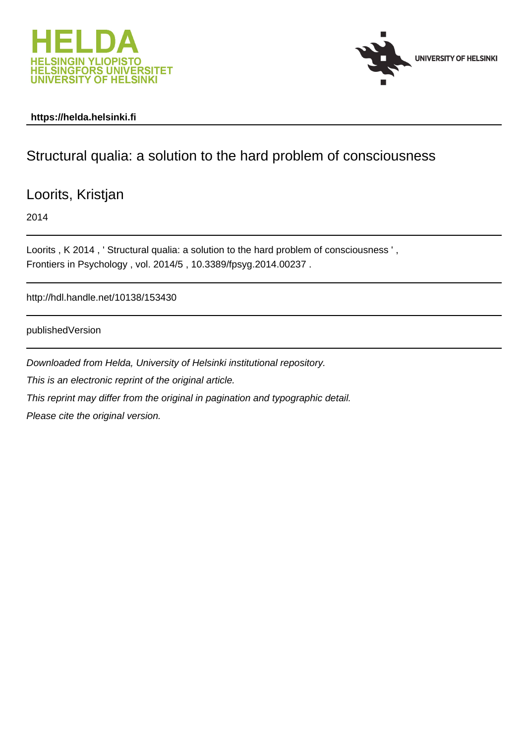



# **https://helda.helsinki.fi**

# Structural qualia: a solution to the hard problem of consciousness

Loorits, Kristjan

2014

Loorits, K 2014, 'Structural qualia: a solution to the hard problem of consciousness', Frontiers in Psychology , vol. 2014/5 , 10.3389/fpsyg.2014.00237 .

http://hdl.handle.net/10138/153430

publishedVersion

Downloaded from Helda, University of Helsinki institutional repository.

This is an electronic reprint of the original article.

This reprint may differ from the original in pagination and typographic detail.

Please cite the original version.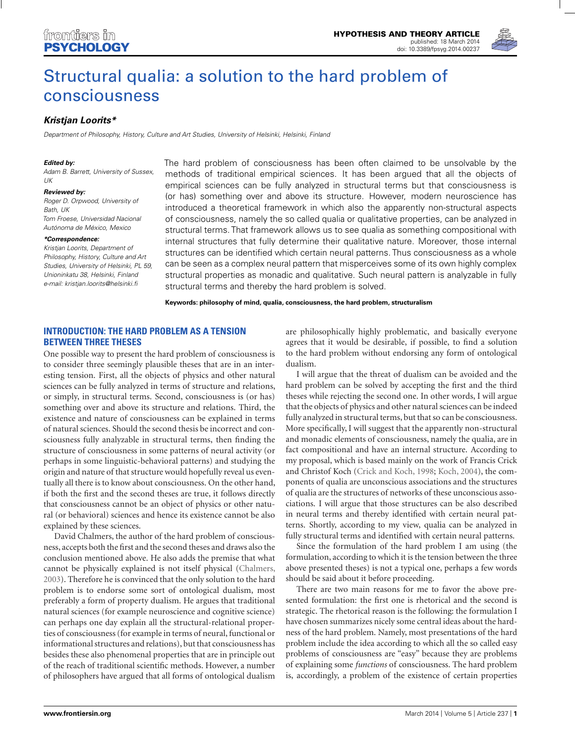

# [Structural qualia: a solution to the hard problem of](http://www.frontiersin.org/Journal/10.3389/fpsyg.2014.00237/abstract) consciousness

## *[Kristjan Loorits\\*](http://www.frontiersin.org/people/u/128615)*

Department of Philosophy, History, Culture and Art Studies, University of Helsinki, Helsinki, Finland

### *Edited by:*

Adam B. Barrett, University of Sussex,  $11K$ 

#### *Reviewed by:*

Roger D. Orpwood, University of Bath, UK Tom Froese, Universidad Nacional Autónoma de México, Mexico

#### *\*Correspondence:*

Kristjan Loorits, Department of Philosophy, History, Culture and Art Studies, University of Helsinki, PL 59, Unioninkatu 38, Helsinki, Finland e-mail: [kristjan.loorits@helsinki.fi](mailto:kristjan.loorits@helsinki.fi)

The hard problem of consciousness has been often claimed to be unsolvable by the methods of traditional empirical sciences. It has been argued that all the objects of empirical sciences can be fully analyzed in structural terms but that consciousness is (or has) something over and above its structure. However, modern neuroscience has introduced a theoretical framework in which also the apparently non-structural aspects of consciousness, namely the so called qualia or qualitative properties, can be analyzed in structural terms. That framework allows us to see qualia as something compositional with internal structures that fully determine their qualitative nature. Moreover, those internal structures can be identified which certain neural patterns. Thus consciousness as a whole can be seen as a complex neural pattern that misperceives some of its own highly complex structural properties as monadic and qualitative. Such neural pattern is analyzable in fully structural terms and thereby the hard problem is solved.

**Keywords: philosophy of mind, qualia, consciousness, the hard problem, structuralism**

# **INTRODUCTION: THE HARD PROBLEM AS A TENSION BETWEEN THREE THESES**

One possible way to present the hard problem of consciousness is to consider three seemingly plausible theses that are in an interesting tension. First, all the objects of physics and other natural sciences can be fully analyzed in terms of structure and relations, or simply, in structural terms. Second, consciousness is (or has) something over and above its structure and relations. Third, the existence and nature of consciousness can be explained in terms of natural sciences. Should the second thesis be incorrect and consciousness fully analyzable in structural terms, then finding the structure of consciousness in some patterns of neural activity (or perhaps in some linguistic-behavioral patterns) and studying the origin and nature of that structure would hopefully reveal us eventually all there is to know about consciousness. On the other hand, if both the first and the second theses are true, it follows directly that consciousness cannot be an object of physics or other natural (or behavioral) sciences and hence its existence cannot be also explained by these sciences.

David Chalmers, the author of the hard problem of consciousness, accepts both the first and the second theses and draws also the conclusion mentioned above. He also adds the premise that what cannot be physically explained is not itself physical (Chalmers, 2003). Therefore he is convinced that the only solution to the hard problem is to endorse some sort of ontological dualism, most preferably a form of property dualism. He argues that traditional natural sciences (for example neuroscience and cognitive science) can perhaps one day explain all the structural-relational properties of consciousness (for example in terms of neural, functional or informational structures and relations), but that consciousness has besides these also phenomenal properties that are in principle out of the reach of traditional scientific methods. However, a number of philosophers have argued that all forms of ontological dualism are philosophically highly problematic, and basically everyone agrees that it would be desirable, if possible, to find a solution to the hard problem without endorsing any form of ontological dualism.

I will argue that the threat of dualism can be avoided and the hard problem can be solved by accepting the first and the third theses while rejecting the second one. In other words, I will argue that the objects of physics and other natural sciences can be indeed fully analyzed in structural terms, but that so can be consciousness. More specifically, I will suggest that the apparently non-structural and monadic elements of consciousness, namely the qualia, are in fact compositional and have an internal structure. According to my proposal, which is based mainly on the work of Francis Crick and Christof Koch (Crick and Koch, 1998; Koch, 2004), the components of qualia are unconscious associations and the structures of qualia are the structures of networks of these unconscious associations. I will argue that those structures can be also described in neural terms and thereby identified with certain neural patterns. Shortly, according to my view, qualia can be analyzed in fully structural terms and identified with certain neural patterns.

Since the formulation of the hard problem I am using (the formulation, according to which it is the tension between the three above presented theses) is not a typical one, perhaps a few words should be said about it before proceeding.

There are two main reasons for me to favor the above presented formulation: the first one is rhetorical and the second is strategic. The rhetorical reason is the following: the formulation I have chosen summarizes nicely some central ideas about the hardness of the hard problem. Namely, most presentations of the hard problem include the idea according to which all the so called easy problems of consciousness are "easy" because they are problems of explaining some *functions* of consciousness. The hard problem is, accordingly, a problem of the existence of certain properties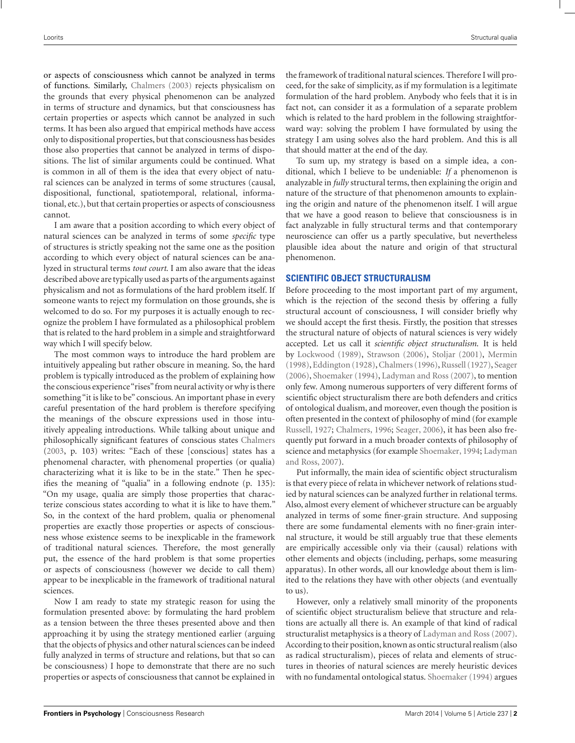or aspects of consciousness which cannot be analyzed in terms of functions. Similarly, Chalmers (2003) rejects physicalism on the grounds that every physical phenomenon can be analyzed in terms of structure and dynamics, but that consciousness has certain properties or aspects which cannot be analyzed in such terms. It has been also argued that empirical methods have access only to dispositional properties, but that consciousness has besides those also properties that cannot be analyzed in terms of dispositions. The list of similar arguments could be continued. What is common in all of them is the idea that every object of natural sciences can be analyzed in terms of some structures (causal, dispositional, functional, spatiotemporal, relational, informational, etc.), but that certain properties or aspects of consciousness cannot.

I am aware that a position according to which every object of natural sciences can be analyzed in terms of some *specific* type of structures is strictly speaking not the same one as the position according to which every object of natural sciences can be analyzed in structural terms *tout court*. I am also aware that the ideas described above are typically used as parts of the arguments against physicalism and not as formulations of the hard problem itself. If someone wants to reject my formulation on those grounds, she is welcomed to do so. For my purposes it is actually enough to recognize the problem I have formulated as a philosophical problem that is related to the hard problem in a simple and straightforward way which I will specify below.

The most common ways to introduce the hard problem are intuitively appealing but rather obscure in meaning. So, the hard problem is typically introduced as the problem of explaining how the conscious experience"rises"from neural activity or why is there something "it is like to be" conscious. An important phase in every careful presentation of the hard problem is therefore specifying the meanings of the obscure expressions used in those intuitively appealing introductions. While talking about unique and philosophically significant features of conscious states Chalmers (2003, p. 103) writes: "Each of these [conscious] states has a phenomenal character, with phenomenal properties (or qualia) characterizing what it is like to be in the state." Then he specifies the meaning of "qualia" in a following endnote (p. 135): "On my usage, qualia are simply those properties that characterize conscious states according to what it is like to have them." So, in the context of the hard problem, qualia or phenomenal properties are exactly those properties or aspects of consciousness whose existence seems to be inexplicable in the framework of traditional natural sciences. Therefore, the most generally put, the essence of the hard problem is that some properties or aspects of consciousness (however we decide to call them) appear to be inexplicable in the framework of traditional natural sciences.

Now I am ready to state my strategic reason for using the formulation presented above: by formulating the hard problem as a tension between the three theses presented above and then approaching it by using the strategy mentioned earlier (arguing that the objects of physics and other natural sciences can be indeed fully analyzed in terms of structure and relations, but that so can be consciousness) I hope to demonstrate that there are no such properties or aspects of consciousness that cannot be explained in the framework of traditional natural sciences. Therefore I will proceed, for the sake of simplicity, as if my formulation is a legitimate formulation of the hard problem. Anybody who feels that it is in fact not, can consider it as a formulation of a separate problem which is related to the hard problem in the following straightforward way: solving the problem I have formulated by using the strategy I am using solves also the hard problem. And this is all that should matter at the end of the day.

To sum up, my strategy is based on a simple idea, a conditional, which I believe to be undeniable: *If* a phenomenon is analyzable in *fully* structural terms, then explaining the origin and nature of the structure of that phenomenon amounts to explaining the origin and nature of the phenomenon itself. I will argue that we have a good reason to believe that consciousness is in fact analyzable in fully structural terms and that contemporary neuroscience can offer us a partly speculative, but nevertheless plausible idea about the nature and origin of that structural phenomenon.

## **SCIENTIFIC OBJECT STRUCTURALISM**

Before proceeding to the most important part of my argument, which is the rejection of the second thesis by offering a fully structural account of consciousness, I will consider briefly why we should accept the first thesis. Firstly, the position that stresses the structural nature of objects of natural sciences is very widely accepted. Let us call it *scientific object structuralism*. It is held by Lockwood (1989), Strawson (2006), Stoljar (2001), Mermin (1998), Eddington (1928),Chalmers (1996),Russell (1927), Seager (2006), Shoemaker (1994), Ladyman and Ross (2007), to mention only few. Among numerous supporters of very different forms of scientific object structuralism there are both defenders and critics of ontological dualism, and moreover, even though the position is often presented in the context of philosophy of mind (for example Russell, 1927; Chalmers, 1996; Seager, 2006), it has been also frequently put forward in a much broader contexts of philosophy of science and metaphysics (for example Shoemaker, 1994; Ladyman and Ross, 2007).

Put informally, the main idea of scientific object structuralism is that every piece of relata in whichever network of relations studied by natural sciences can be analyzed further in relational terms. Also, almost every element of whichever structure can be arguably analyzed in terms of some finer-grain structure. And supposing there are some fundamental elements with no finer-grain internal structure, it would be still arguably true that these elements are empirically accessible only via their (causal) relations with other elements and objects (including, perhaps, some measuring apparatus). In other words, all our knowledge about them is limited to the relations they have with other objects (and eventually to us).

However, only a relatively small minority of the proponents of scientific object structuralism believe that structure and relations are actually all there is. An example of that kind of radical structuralist metaphysics is a theory of Ladyman and Ross (2007). According to their position, known as ontic structural realism (also as radical structuralism), pieces of relata and elements of structures in theories of natural sciences are merely heuristic devices with no fundamental ontological status. Shoemaker (1994) argues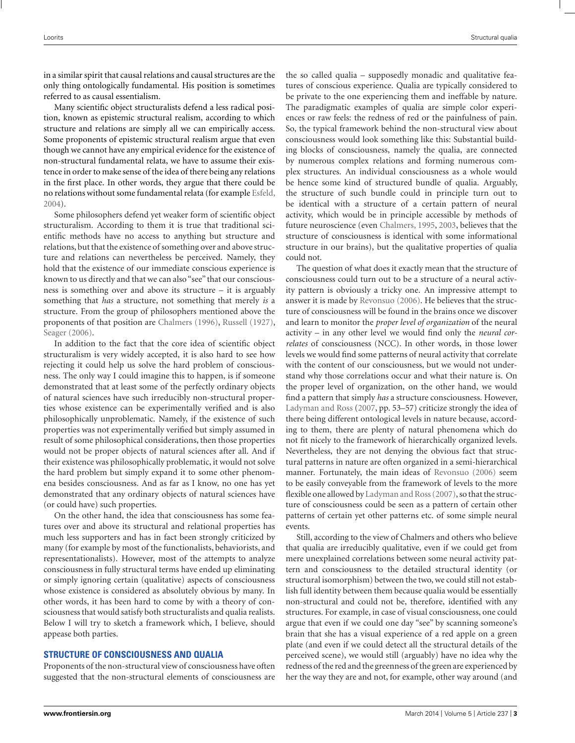in a similar spirit that causal relations and causal structures are the only thing ontologically fundamental. His position is sometimes referred to as causal essentialism.

Many scientific object structuralists defend a less radical position, known as epistemic structural realism, according to which structure and relations are simply all we can empirically access. Some proponents of epistemic structural realism argue that even though we cannot have any empirical evidence for the existence of non-structural fundamental relata, we have to assume their existence in order to make sense of the idea of there being any relations in the first place. In other words, they argue that there could be no relations without some fundamental relata (for example Esfeld, 2004).

Some philosophers defend yet weaker form of scientific object structuralism. According to them it is true that traditional scientific methods have no access to anything but structure and relations, but that the existence of something over and above structure and relations can nevertheless be perceived. Namely, they hold that the existence of our immediate conscious experience is known to us directly and that we can also "see" that our consciousness is something over and above its structure – it is arguably something that *has* a structure, not something that merely *is* a structure. From the group of philosophers mentioned above the proponents of that position are Chalmers (1996), Russell (1927), Seager (2006).

In addition to the fact that the core idea of scientific object structuralism is very widely accepted, it is also hard to see how rejecting it could help us solve the hard problem of consciousness. The only way I could imagine this to happen, is if someone demonstrated that at least some of the perfectly ordinary objects of natural sciences have such irreducibly non-structural properties whose existence can be experimentally verified and is also philosophically unproblematic. Namely, if the existence of such properties was not experimentally verified but simply assumed in result of some philosophical considerations, then those properties would not be proper objects of natural sciences after all. And if their existence was philosophically problematic, it would not solve the hard problem but simply expand it to some other phenomena besides consciousness. And as far as I know, no one has yet demonstrated that any ordinary objects of natural sciences have (or could have) such properties.

On the other hand, the idea that consciousness has some features over and above its structural and relational properties has much less supporters and has in fact been strongly criticized by many (for example by most of the functionalists, behaviorists, and representationalists). However, most of the attempts to analyze consciousness in fully structural terms have ended up eliminating or simply ignoring certain (qualitative) aspects of consciousness whose existence is considered as absolutely obvious by many. In other words, it has been hard to come by with a theory of consciousness that would satisfy both structuralists and qualia realists. Below I will try to sketch a framework which, I believe, should appease both parties.

### **STRUCTURE OF CONSCIOUSNESS AND QUALIA**

Proponents of the non-structural view of consciousness have often suggested that the non-structural elements of consciousness are the so called qualia – supposedly monadic and qualitative features of conscious experience. Qualia are typically considered to be private to the one experiencing them and ineffable by nature. The paradigmatic examples of qualia are simple color experiences or raw feels: the redness of red or the painfulness of pain. So, the typical framework behind the non-structural view about consciousness would look something like this: Substantial building blocks of consciousness, namely the qualia, are connected by numerous complex relations and forming numerous complex structures. An individual consciousness as a whole would be hence some kind of structured bundle of qualia. Arguably, the structure of such bundle could in principle turn out to be identical with a structure of a certain pattern of neural activity, which would be in principle accessible by methods of future neuroscience (even Chalmers, 1995, 2003, believes that the structure of consciousness is identical with some informational structure in our brains), but the qualitative properties of qualia could not.

The question of what does it exactly mean that the structure of consciousness could turn out to be a structure of a neural activity pattern is obviously a tricky one. An impressive attempt to answer it is made by Revonsuo (2006). He believes that the structure of consciousness will be found in the brains once we discover and learn to monitor the *proper level of organization* of the neural activity – in any other level we would find only the *neural correlates* of consciousness (NCC). In other words, in those lower levels we would find some patterns of neural activity that correlate with the content of our consciousness, but we would not understand why those correlations occur and what their nature is. On the proper level of organization, on the other hand, we would find a pattern that simply *has* a structure consciousness. However, Ladyman and Ross (2007, pp. 53–57) criticize strongly the idea of there being different ontological levels in nature because, according to them, there are plenty of natural phenomena which do not fit nicely to the framework of hierarchically organized levels. Nevertheless, they are not denying the obvious fact that structural patterns in nature are often organized in a semi-hierarchical manner. Fortunately, the main ideas of Revonsuo (2006) seem to be easily conveyable from the framework of levels to the more flexible one allowed by Ladyman and Ross (2007), so that the structure of consciousness could be seen as a pattern of certain other patterns of certain yet other patterns etc. of some simple neural events.

Still, according to the view of Chalmers and others who believe that qualia are irreducibly qualitative, even if we could get from mere unexplained correlations between some neural activity pattern and consciousness to the detailed structural identity (or structural isomorphism) between the two, we could still not establish full identity between them because qualia would be essentially non-structural and could not be, therefore, identified with any structures. For example, in case of visual consciousness, one could argue that even if we could one day "see" by scanning someone's brain that she has a visual experience of a red apple on a green plate (and even if we could detect all the structural details of the perceived scene), we would still (arguably) have no idea why the redness of the red and the greenness of the green are experienced by her the way they are and not, for example, other way around (and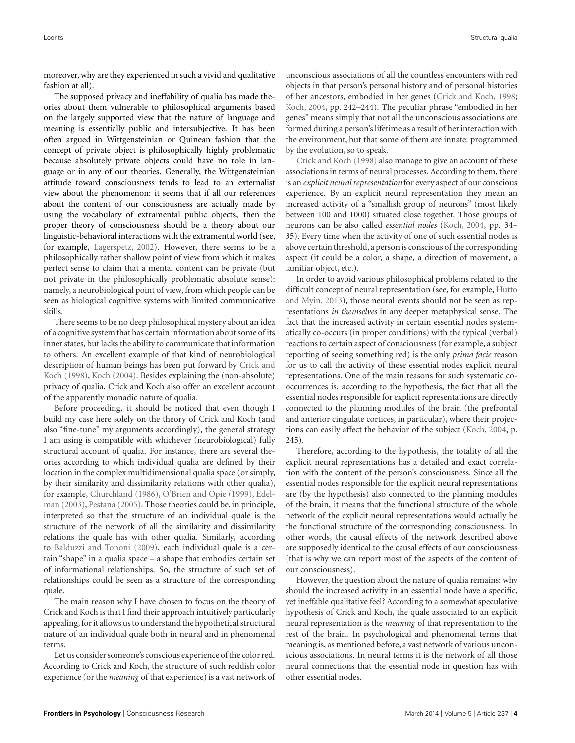moreover, why are they experienced in such a vivid and qualitative fashion at all).

The supposed privacy and ineffability of qualia has made theories about them vulnerable to philosophical arguments based on the largely supported view that the nature of language and meaning is essentially public and intersubjective. It has been often argued in Wittgensteinian or Quinean fashion that the concept of private object is philosophically highly problematic because absolutely private objects could have no role in language or in any of our theories. Generally, the Wittgensteinian attitude toward consciousness tends to lead to an externalist view about the phenomenon: it seems that if all our references about the content of our consciousness are actually made by using the vocabulary of extramental public objects, then the proper theory of consciousness should be a theory about our linguistic-behavioral interactions with the extramental world (see, for example, Lagerspetz, 2002). However, there seems to be a philosophically rather shallow point of view from which it makes perfect sense to claim that a mental content can be private (but not private in the philosophically problematic absolute sense): namely, a neurobiological point of view, from which people can be seen as biological cognitive systems with limited communicative skills.

There seems to be no deep philosophical mystery about an idea of a cognitive system that has certain information about some of its inner states, but lacks the ability to communicate that information to others. An excellent example of that kind of neurobiological description of human beings has been put forward by Crick and Koch (1998), Koch (2004). Besides explaining the (non-absolute) privacy of qualia, Crick and Koch also offer an excellent account of the apparently monadic nature of qualia.

Before proceeding, it should be noticed that even though I build my case here solely on the theory of Crick and Koch (and also "fine-tune" my arguments accordingly), the general strategy I am using is compatible with whichever (neurobiological) fully structural account of qualia. For instance, there are several theories according to which individual qualia are defined by their location in the complex multidimensional qualia space (or simply, by their similarity and dissimilarity relations with other qualia), for example, Churchland (1986), O'Brien and Opie (1999), Edelman (2003), Pestana (2005). Those theories could be, in principle, interpreted so that the structure of an individual quale is the structure of the network of all the similarity and dissimilarity relations the quale has with other qualia. Similarly, according to Balduzzi and Tononi (2009), each individual quale is a certain "shape" in a qualia space – a shape that embodies certain set of informational relationships. So, the structure of such set of relationships could be seen as a structure of the corresponding quale.

The main reason why I have chosen to focus on the theory of Crick and Koch is that I find their approach intuitively particularly appealing, for it allows us to understand the hypothetical structural nature of an individual quale both in neural and in phenomenal terms.

Let us consider someone's conscious experience of the color red. According to Crick and Koch, the structure of such reddish color experience (or the *meaning* of that experience) is a vast network of unconscious associations of all the countless encounters with red objects in that person's personal history and of personal histories of her ancestors, embodied in her genes (Crick and Koch, 1998; Koch, 2004, pp. 242–244). The peculiar phrase "embodied in her genes" means simply that not all the unconscious associations are formed during a person's lifetime as a result of her interaction with the environment, but that some of them are innate: programmed by the evolution, so to speak.

Crick and Koch (1998) also manage to give an account of these associations in terms of neural processes. According to them, there is an *explicit neural representation* for every aspect of our conscious experience. By an explicit neural representation they mean an increased activity of a "smallish group of neurons" (most likely between 100 and 1000) situated close together. Those groups of neurons can be also called *essential nodes* (Koch, 2004, pp. 34– 35). Every time when the activity of one of such essential nodes is above certain threshold, a person is conscious of the corresponding aspect (it could be a color, a shape, a direction of movement, a familiar object, etc.).

In order to avoid various philosophical problems related to the difficult concept of neural representation (see, for example, Hutto and Myin, 2013), those neural events should not be seen as representations *in themselves* in any deeper metaphysical sense. The fact that the increased activity in certain essential nodes systematically co-occurs (in proper conditions) with the typical (verbal) reactions to certain aspect of consciousness (for example, a subject reporting of seeing something red) is the only *prima facie* reason for us to call the activity of these essential nodes explicit neural representations. One of the main reasons for such systematic cooccurrences is, according to the hypothesis, the fact that all the essential nodes responsible for explicit representations are directly connected to the planning modules of the brain (the prefrontal and anterior cingulate cortices, in particular), where their projections can easily affect the behavior of the subject (Koch, 2004, p. 245).

Therefore, according to the hypothesis, the totality of all the explicit neural representations has a detailed and exact correlation with the content of the person's consciousness. Since all the essential nodes responsible for the explicit neural representations are (by the hypothesis) also connected to the planning modules of the brain, it means that the functional structure of the whole network of the explicit neural representations would actually be the functional structure of the corresponding consciousness. In other words, the causal effects of the network described above are supposedly identical to the causal effects of our consciousness (that is why we can report most of the aspects of the content of our consciousness).

However, the question about the nature of qualia remains: why should the increased activity in an essential node have a specific, yet ineffable qualitative feel? According to a somewhat speculative hypothesis of Crick and Koch, the quale associated to an explicit neural representation is the *meaning* of that representation to the rest of the brain. In psychological and phenomenal terms that meaning is, as mentioned before, a vast network of various unconscious associations. In neural terms it is the network of all those neural connections that the essential node in question has with other essential nodes.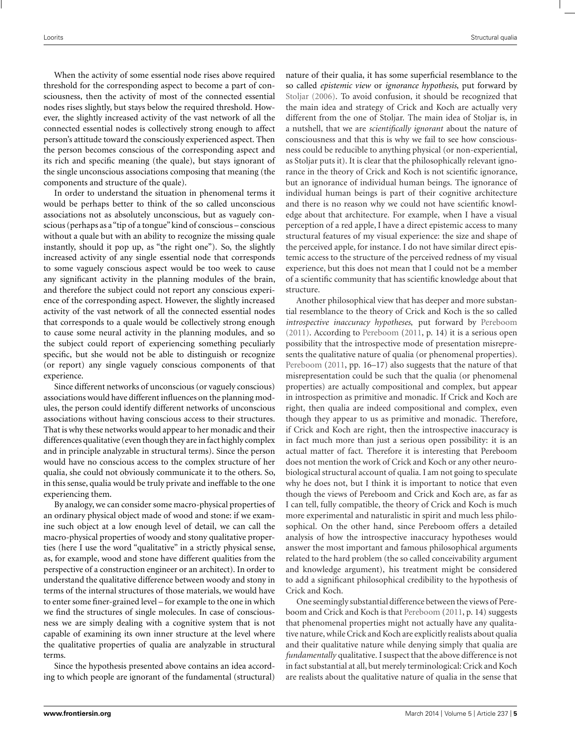When the activity of some essential node rises above required threshold for the corresponding aspect to become a part of consciousness, then the activity of most of the connected essential nodes rises slightly, but stays below the required threshold. However, the slightly increased activity of the vast network of all the connected essential nodes is collectively strong enough to affect person's attitude toward the consciously experienced aspect. Then the person becomes conscious of the corresponding aspect and its rich and specific meaning (the quale), but stays ignorant of the single unconscious associations composing that meaning (the components and structure of the quale).

In order to understand the situation in phenomenal terms it would be perhaps better to think of the so called unconscious associations not as absolutely unconscious, but as vaguely conscious (perhaps as a"tip of a tongue"kind of conscious – conscious without a quale but with an ability to recognize the missing quale instantly, should it pop up, as "the right one"). So, the slightly increased activity of any single essential node that corresponds to some vaguely conscious aspect would be too week to cause any significant activity in the planning modules of the brain, and therefore the subject could not report any conscious experience of the corresponding aspect. However, the slightly increased activity of the vast network of all the connected essential nodes that corresponds to a quale would be collectively strong enough to cause some neural activity in the planning modules, and so the subject could report of experiencing something peculiarly specific, but she would not be able to distinguish or recognize (or report) any single vaguely conscious components of that experience.

Since different networks of unconscious (or vaguely conscious) associations would have different influences on the planning modules, the person could identify different networks of unconscious associations without having conscious access to their structures. That is why these networks would appear to her monadic and their differences qualitative (even though they are in fact highly complex and in principle analyzable in structural terms). Since the person would have no conscious access to the complex structure of her qualia, she could not obviously communicate it to the others. So, in this sense, qualia would be truly private and ineffable to the one experiencing them.

By analogy, we can consider some macro-physical properties of an ordinary physical object made of wood and stone: if we examine such object at a low enough level of detail, we can call the macro-physical properties of woody and stony qualitative properties (here I use the word "qualitative" in a strictly physical sense, as, for example, wood and stone have different qualities from the perspective of a construction engineer or an architect). In order to understand the qualitative difference between woody and stony in terms of the internal structures of those materials, we would have to enter some finer-grained level – for example to the one in which we find the structures of single molecules. In case of consciousness we are simply dealing with a cognitive system that is not capable of examining its own inner structure at the level where the qualitative properties of qualia are analyzable in structural terms.

Since the hypothesis presented above contains an idea according to which people are ignorant of the fundamental (structural)

nature of their qualia, it has some superficial resemblance to the so called *epistemic view* or *ignorance hypothesis*, put forward by Stoljar (2006). To avoid confusion, it should be recognized that the main idea and strategy of Crick and Koch are actually very different from the one of Stoljar. The main idea of Stoljar is, in a nutshell, that we are *scientifically ignorant* about the nature of consciousness and that this is why we fail to see how consciousness could be reducible to anything physical (or non-experiential, as Stoljar puts it). It is clear that the philosophically relevant ignorance in the theory of Crick and Koch is not scientific ignorance, but an ignorance of individual human beings. The ignorance of individual human beings is part of their cognitive architecture and there is no reason why we could not have scientific knowledge about that architecture. For example, when I have a visual perception of a red apple, I have a direct epistemic access to many structural features of my visual experience: the size and shape of the perceived apple, for instance. I do not have similar direct epistemic access to the structure of the perceived redness of my visual experience, but this does not mean that I could not be a member of a scientific community that has scientific knowledge about that structure.

Another philosophical view that has deeper and more substantial resemblance to the theory of Crick and Koch is the so called *introspective inaccuracy hypotheses*, put forward by Pereboom (2011). According to Pereboom (2011, p. 14) it is a serious open possibility that the introspective mode of presentation misrepresents the qualitative nature of qualia (or phenomenal properties). Pereboom (2011, pp. 16–17) also suggests that the nature of that misrepresentation could be such that the qualia (or phenomenal properties) are actually compositional and complex, but appear in introspection as primitive and monadic. If Crick and Koch are right, then qualia are indeed compositional and complex, even though they appear to us as primitive and monadic. Therefore, if Crick and Koch are right, then the introspective inaccuracy is in fact much more than just a serious open possibility: it is an actual matter of fact. Therefore it is interesting that Pereboom does not mention the work of Crick and Koch or any other neurobiological structural account of qualia. I am not going to speculate why he does not, but I think it is important to notice that even though the views of Pereboom and Crick and Koch are, as far as I can tell, fully compatible, the theory of Crick and Koch is much more experimental and naturalistic in spirit and much less philosophical. On the other hand, since Pereboom offers a detailed analysis of how the introspective inaccuracy hypotheses would answer the most important and famous philosophical arguments related to the hard problem (the so called conceivability argument and knowledge argument), his treatment might be considered to add a significant philosophical credibility to the hypothesis of Crick and Koch.

One seemingly substantial difference between the views of Pereboom and Crick and Koch is that Pereboom (2011, p. 14) suggests that phenomenal properties might not actually have any qualitative nature, while Crick and Koch are explicitly realists about qualia and their qualitative nature while denying simply that qualia are *fundamentally* qualitative. I suspect that the above difference is not in fact substantial at all, but merely terminological: Crick and Koch are realists about the qualitative nature of qualia in the sense that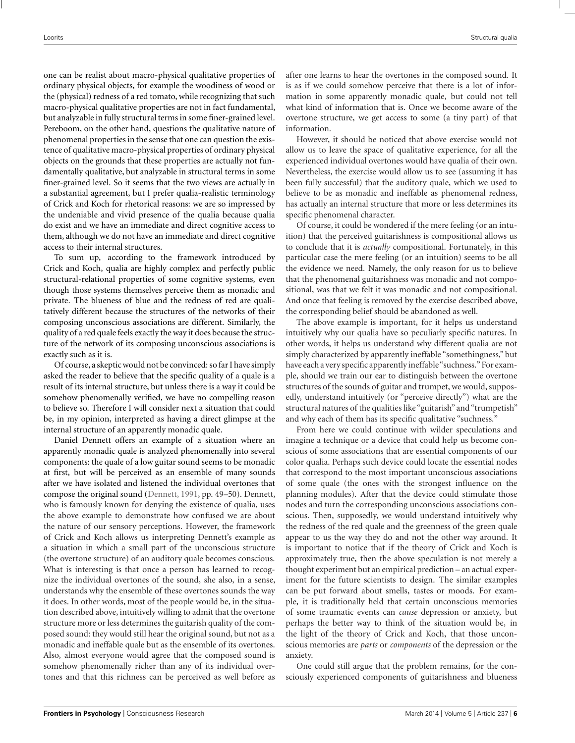one can be realist about macro-physical qualitative properties of ordinary physical objects, for example the woodiness of wood or the (physical) redness of a red tomato, while recognizing that such macro-physical qualitative properties are not in fact fundamental, but analyzable in fully structural terms in some finer-grained level. Pereboom, on the other hand, questions the qualitative nature of phenomenal properties in the sense that one can question the existence of qualitative macro-physical properties of ordinary physical objects on the grounds that these properties are actually not fundamentally qualitative, but analyzable in structural terms in some finer-grained level. So it seems that the two views are actually in a substantial agreement, but I prefer qualia-realistic terminology of Crick and Koch for rhetorical reasons: we are so impressed by the undeniable and vivid presence of the qualia because qualia do exist and we have an immediate and direct cognitive access to them, although we do not have an immediate and direct cognitive access to their internal structures.

To sum up, according to the framework introduced by Crick and Koch, qualia are highly complex and perfectly public structural-relational properties of some cognitive systems, even though those systems themselves perceive them as monadic and private. The blueness of blue and the redness of red are qualitatively different because the structures of the networks of their composing unconscious associations are different. Similarly, the quality of a red quale feels exactly the way it does because the structure of the network of its composing unconscious associations is exactly such as it is.

Of course, a skeptic would not be convinced: so far I have simply asked the reader to believe that the specific quality of a quale is a result of its internal structure, but unless there is a way it could be somehow phenomenally verified, we have no compelling reason to believe so. Therefore I will consider next a situation that could be, in my opinion, interpreted as having a direct glimpse at the internal structure of an apparently monadic quale.

Daniel Dennett offers an example of a situation where an apparently monadic quale is analyzed phenomenally into several components: the quale of a low guitar sound seems to be monadic at first, but will be perceived as an ensemble of many sounds after we have isolated and listened the individual overtones that compose the original sound (Dennett, 1991, pp. 49–50). Dennett, who is famously known for denying the existence of qualia, uses the above example to demonstrate how confused we are about the nature of our sensory perceptions. However, the framework of Crick and Koch allows us interpreting Dennett's example as a situation in which a small part of the unconscious structure (the overtone structure) of an auditory quale becomes conscious. What is interesting is that once a person has learned to recognize the individual overtones of the sound, she also, in a sense, understands why the ensemble of these overtones sounds the way it does. In other words, most of the people would be, in the situation described above, intuitively willing to admit that the overtone structure more or less determines the guitarish quality of the composed sound: they would still hear the original sound, but not as a monadic and ineffable quale but as the ensemble of its overtones. Also, almost everyone would agree that the composed sound is somehow phenomenally richer than any of its individual overtones and that this richness can be perceived as well before as after one learns to hear the overtones in the composed sound. It is as if we could somehow perceive that there is a lot of information in some apparently monadic quale, but could not tell what kind of information that is. Once we become aware of the overtone structure, we get access to some (a tiny part) of that information.

However, it should be noticed that above exercise would not allow us to leave the space of qualitative experience, for all the experienced individual overtones would have qualia of their own. Nevertheless, the exercise would allow us to see (assuming it has been fully successful) that the auditory quale, which we used to believe to be as monadic and ineffable as phenomenal redness, has actually an internal structure that more or less determines its specific phenomenal character.

Of course, it could be wondered if the mere feeling (or an intuition) that the perceived guitarishness is compositional allows us to conclude that it is *actually* compositional. Fortunately, in this particular case the mere feeling (or an intuition) seems to be all the evidence we need. Namely, the only reason for us to believe that the phenomenal guitarishness was monadic and not compositional, was that we felt it was monadic and not compositional. And once that feeling is removed by the exercise described above, the corresponding belief should be abandoned as well.

The above example is important, for it helps us understand intuitively why our qualia have so peculiarly specific natures. In other words, it helps us understand why different qualia are not simply characterized by apparently ineffable "somethingness," but have each a very specific apparently ineffable"suchness." For example, should we train our ear to distinguish between the overtone structures of the sounds of guitar and trumpet, we would, supposedly, understand intuitively (or "perceive directly") what are the structural natures of the qualities like "guitarish" and "trumpetish" and why each of them has its specific qualitative "suchness."

From here we could continue with wilder speculations and imagine a technique or a device that could help us become conscious of some associations that are essential components of our color qualia. Perhaps such device could locate the essential nodes that correspond to the most important unconscious associations of some quale (the ones with the strongest influence on the planning modules). After that the device could stimulate those nodes and turn the corresponding unconscious associations conscious. Then, supposedly, we would understand intuitively why the redness of the red quale and the greenness of the green quale appear to us the way they do and not the other way around. It is important to notice that if the theory of Crick and Koch is approximately true, then the above speculation is not merely a thought experiment but an empirical prediction – an actual experiment for the future scientists to design. The similar examples can be put forward about smells, tastes or moods. For example, it is traditionally held that certain unconscious memories of some traumatic events can *cause* depression or anxiety, but perhaps the better way to think of the situation would be, in the light of the theory of Crick and Koch, that those unconscious memories are *parts* or *components* of the depression or the anxiety.

One could still argue that the problem remains, for the consciously experienced components of guitarishness and blueness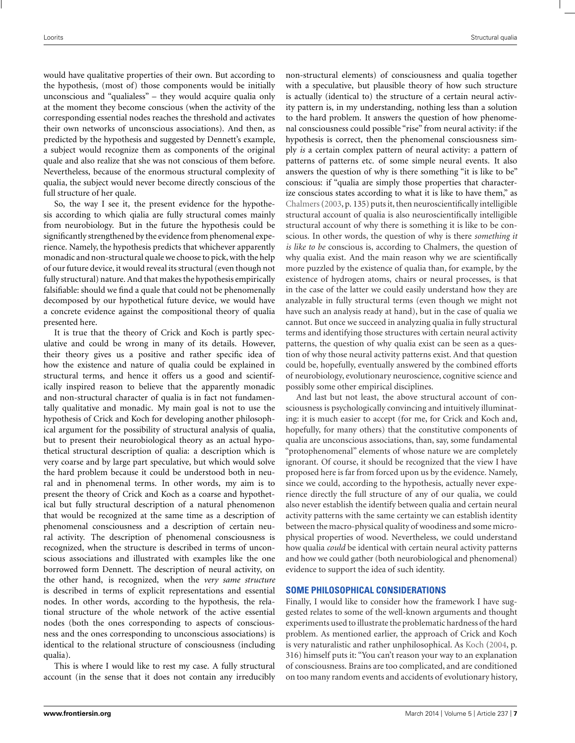would have qualitative properties of their own. But according to the hypothesis, (most of) those components would be initially unconscious and "qualialess" – they would acquire qualia only at the moment they become conscious (when the activity of the corresponding essential nodes reaches the threshold and activates their own networks of unconscious associations). And then, as predicted by the hypothesis and suggested by Dennett's example, a subject would recognize them as components of the original quale and also realize that she was not conscious of them before. Nevertheless, because of the enormous structural complexity of qualia, the subject would never become directly conscious of the full structure of her quale.

So, the way I see it, the present evidence for the hypothesis according to which qialia are fully structural comes mainly from neurobiology. But in the future the hypothesis could be significantly strengthened by the evidence from phenomenal experience. Namely, the hypothesis predicts that whichever apparently monadic and non-structural quale we choose to pick, with the help of our future device, it would reveal its structural (even though not fully structural) nature. And that makes the hypothesis empirically falsifiable: should we find a quale that could not be phenomenally decomposed by our hypothetical future device, we would have a concrete evidence against the compositional theory of qualia presented here.

It is true that the theory of Crick and Koch is partly speculative and could be wrong in many of its details. However, their theory gives us a positive and rather specific idea of how the existence and nature of qualia could be explained in structural terms, and hence it offers us a good and scientifically inspired reason to believe that the apparently monadic and non-structural character of qualia is in fact not fundamentally qualitative and monadic. My main goal is not to use the hypothesis of Crick and Koch for developing another philosophical argument for the possibility of structural analysis of qualia, but to present their neurobiological theory as an actual hypothetical structural description of qualia: a description which is very coarse and by large part speculative, but which would solve the hard problem because it could be understood both in neural and in phenomenal terms. In other words, my aim is to present the theory of Crick and Koch as a coarse and hypothetical but fully structural description of a natural phenomenon that would be recognized at the same time as a description of phenomenal consciousness and a description of certain neural activity. The description of phenomenal consciousness is recognized, when the structure is described in terms of unconscious associations and illustrated with examples like the one borrowed form Dennett. The description of neural activity, on the other hand, is recognized, when the *very same structure* is described in terms of explicit representations and essential nodes. In other words, according to the hypothesis, the relational structure of the whole network of the active essential nodes (both the ones corresponding to aspects of consciousness and the ones corresponding to unconscious associations) is identical to the relational structure of consciousness (including qualia).

This is where I would like to rest my case. A fully structural account (in the sense that it does not contain any irreducibly non-structural elements) of consciousness and qualia together with a speculative, but plausible theory of how such structure is actually (identical to) the structure of a certain neural activity pattern is, in my understanding, nothing less than a solution to the hard problem. It answers the question of how phenomenal consciousness could possible "rise" from neural activity: if the hypothesis is correct, then the phenomenal consciousness simply *is* a certain complex pattern of neural activity: a pattern of patterns of patterns etc. of some simple neural events. It also answers the question of why is there something "it is like to be" conscious: if "qualia are simply those properties that characterize conscious states according to what it is like to have them," as Chalmers(2003, p. 135) puts it, then neuroscientifically intelligible structural account of qualia is also neuroscientifically intelligible structural account of why there is something it is like to be conscious. In other words, the question of why is there *something it is like to be* conscious is, according to Chalmers, the question of why qualia exist. And the main reason why we are scientifically more puzzled by the existence of qualia than, for example, by the existence of hydrogen atoms, chairs or neural processes, is that in the case of the latter we could easily understand how they are analyzable in fully structural terms (even though we might not have such an analysis ready at hand), but in the case of qualia we cannot. But once we succeed in analyzing qualia in fully structural terms and identifying those structures with certain neural activity patterns, the question of why qualia exist can be seen as a question of why those neural activity patterns exist. And that question could be, hopefully, eventually answered by the combined efforts of neurobiology, evolutionary neuroscience, cognitive science and possibly some other empirical disciplines.

And last but not least, the above structural account of consciousness is psychologically convincing and intuitively illuminating: it is much easier to accept (for me, for Crick and Koch and, hopefully, for many others) that the constitutive components of qualia are unconscious associations, than, say, some fundamental "protophenomenal" elements of whose nature we are completely ignorant. Of course, it should be recognized that the view I have proposed here is far from forced upon us by the evidence. Namely, since we could, according to the hypothesis, actually never experience directly the full structure of any of our qualia, we could also never establish the identify between qualia and certain neural activity patterns with the same certainty we can establish identity between the macro-physical quality of woodiness and some microphysical properties of wood. Nevertheless, we could understand how qualia *could* be identical with certain neural activity patterns and how we could gather (both neurobiological and phenomenal) evidence to support the idea of such identity.

## **SOME PHILOSOPHICAL CONSIDERATIONS**

Finally, I would like to consider how the framework I have suggested relates to some of the well-known arguments and thought experiments used to illustrate the problematic hardness of the hard problem. As mentioned earlier, the approach of Crick and Koch is very naturalistic and rather unphilosophical. As Koch (2004, p. 316) himself puts it: "You can't reason your way to an explanation of consciousness. Brains are too complicated, and are conditioned on too many random events and accidents of evolutionary history,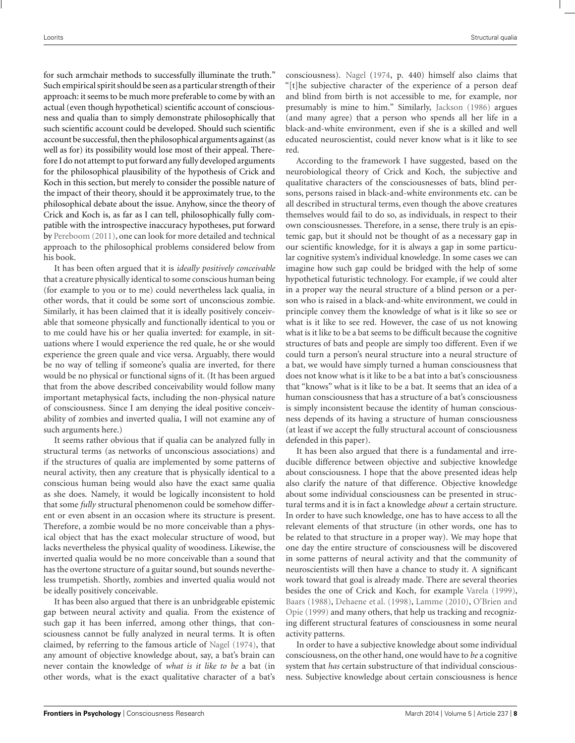for such armchair methods to successfully illuminate the truth." Such empirical spirit should be seen as a particular strength of their approach: it seems to be much more preferable to come by with an actual (even though hypothetical) scientific account of consciousness and qualia than to simply demonstrate philosophically that such scientific account could be developed. Should such scientific account be successful, then the philosophical arguments against (as well as for) its possibility would lose most of their appeal. Therefore I do not attempt to put forward any fully developed arguments for the philosophical plausibility of the hypothesis of Crick and Koch in this section, but merely to consider the possible nature of the impact of their theory, should it be approximately true, to the philosophical debate about the issue. Anyhow, since the theory of Crick and Koch is, as far as I can tell, philosophically fully compatible with the introspective inaccuracy hypotheses, put forward by Pereboom (2011), one can look for more detailed and technical approach to the philosophical problems considered below from his book.

It has been often argued that it is *ideally positively conceivable* that a creature physically identical to some conscious human being (for example to you or to me) could nevertheless lack qualia, in other words, that it could be some sort of unconscious zombie. Similarly, it has been claimed that it is ideally positively conceivable that someone physically and functionally identical to you or to me could have his or her qualia inverted: for example, in situations where I would experience the red quale, he or she would experience the green quale and vice versa. Arguably, there would be no way of telling if someone's qualia are inverted, for there would be no physical or functional signs of it. (It has been argued that from the above described conceivability would follow many important metaphysical facts, including the non-physical nature of consciousness. Since I am denying the ideal positive conceivability of zombies and inverted qualia, I will not examine any of such arguments here.)

It seems rather obvious that if qualia can be analyzed fully in structural terms (as networks of unconscious associations) and if the structures of qualia are implemented by some patterns of neural activity, then any creature that is physically identical to a conscious human being would also have the exact same qualia as she does. Namely, it would be logically inconsistent to hold that some *fully* structural phenomenon could be somehow different or even absent in an occasion where its structure is present. Therefore, a zombie would be no more conceivable than a physical object that has the exact molecular structure of wood, but lacks nevertheless the physical quality of woodiness. Likewise, the inverted qualia would be no more conceivable than a sound that has the overtone structure of a guitar sound, but sounds nevertheless trumpetish. Shortly, zombies and inverted qualia would not be ideally positively conceivable.

It has been also argued that there is an unbridgeable epistemic gap between neural activity and qualia. From the existence of such gap it has been inferred, among other things, that consciousness cannot be fully analyzed in neural terms. It is often claimed, by referring to the famous article of Nagel (1974), that any amount of objective knowledge about, say, a bat's brain can never contain the knowledge of *what is it like to be* a bat (in other words, what is the exact qualitative character of a bat's consciousness). Nagel (1974, p. 440) himself also claims that "[t]he subjective character of the experience of a person deaf and blind from birth is not accessible to me, for example, nor presumably is mine to him." Similarly, Jackson (1986) argues (and many agree) that a person who spends all her life in a black-and-white environment, even if she is a skilled and well educated neuroscientist, could never know what is it like to see red.

According to the framework I have suggested, based on the neurobiological theory of Crick and Koch, the subjective and qualitative characters of the consciousnesses of bats, blind persons, persons raised in black-and-white environments etc. can be all described in structural terms, even though the above creatures themselves would fail to do so, as individuals, in respect to their own consciousnesses. Therefore, in a sense, there truly is an epistemic gap, but it should not be thought of as a necessary gap in our scientific knowledge, for it is always a gap in some particular cognitive system's individual knowledge. In some cases we can imagine how such gap could be bridged with the help of some hypothetical futuristic technology. For example, if we could alter in a proper way the neural structure of a blind person or a person who is raised in a black-and-white environment, we could in principle convey them the knowledge of what is it like so see or what is it like to see red. However, the case of us not knowing what is it like to be a bat seems to be difficult because the cognitive structures of bats and people are simply too different. Even if we could turn a person's neural structure into a neural structure of a bat, we would have simply turned a human consciousness that does not know what is it like to be a bat into a bat's consciousness that "knows" what is it like to be a bat. It seems that an idea of a human consciousness that has a structure of a bat's consciousness is simply inconsistent because the identity of human consciousness depends of its having a structure of human consciousness (at least if we accept the fully structural account of consciousness defended in this paper).

It has been also argued that there is a fundamental and irreducible difference between objective and subjective knowledge about consciousness. I hope that the above presented ideas help also clarify the nature of that difference. Objective knowledge about some individual consciousness can be presented in structural terms and it is in fact a knowledge *about* a certain structure. In order to have such knowledge, one has to have access to all the relevant elements of that structure (in other words, one has to be related to that structure in a proper way). We may hope that one day the entire structure of consciousness will be discovered in some patterns of neural activity and that the community of neuroscientists will then have a chance to study it. A significant work toward that goal is already made. There are several theories besides the one of Crick and Koch, for example Varela (1999), Baars (1988), Dehaene et al. (1998), Lamme (2010), O'Brien and Opie (1999) and many others, that help us tracking and recognizing different structural features of consciousness in some neural activity patterns.

In order to have a subjective knowledge about some individual consciousness, on the other hand, one would have to *be* a cognitive system that *has* certain substructure of that individual consciousness. Subjective knowledge about certain consciousness is hence